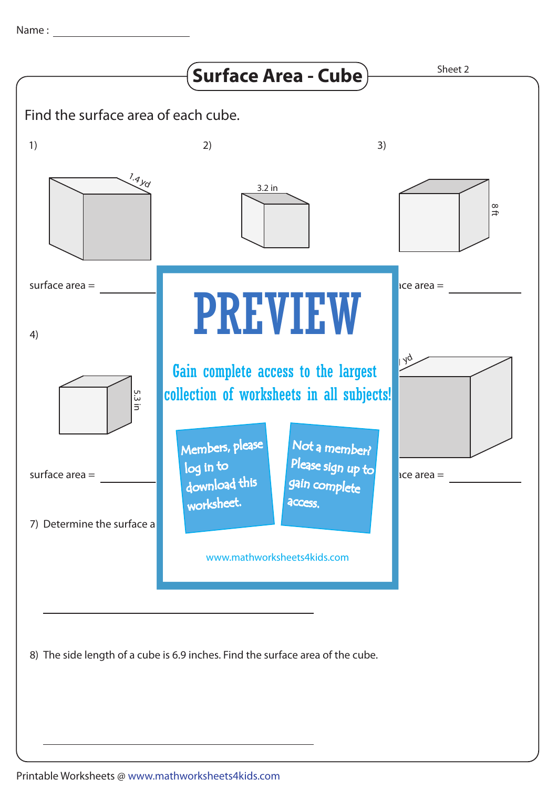